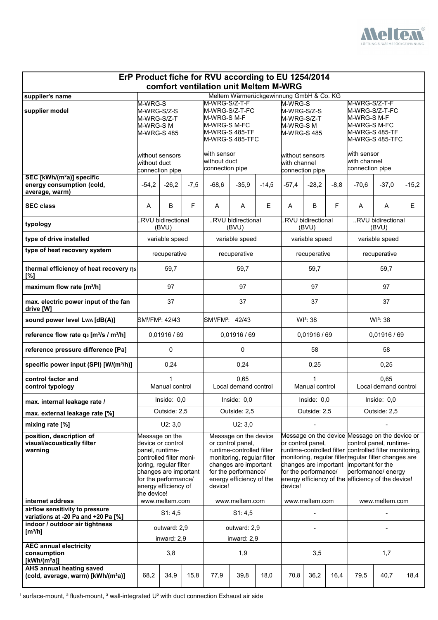

| ErP Product fiche for RVU according to EU 1254/2014<br>comfort ventilation unit Meltem M-WRG |                                                                                                                                                                                                     |                                                                                                |        |                                                                                                                                                                                               |                              |         |                                                                                                                                                                                                                                                                                                                                                                                  |                |         |                                                                                                     |              |         |
|----------------------------------------------------------------------------------------------|-----------------------------------------------------------------------------------------------------------------------------------------------------------------------------------------------------|------------------------------------------------------------------------------------------------|--------|-----------------------------------------------------------------------------------------------------------------------------------------------------------------------------------------------|------------------------------|---------|----------------------------------------------------------------------------------------------------------------------------------------------------------------------------------------------------------------------------------------------------------------------------------------------------------------------------------------------------------------------------------|----------------|---------|-----------------------------------------------------------------------------------------------------|--------------|---------|
| supplier's name                                                                              |                                                                                                                                                                                                     |                                                                                                |        |                                                                                                                                                                                               |                              |         |                                                                                                                                                                                                                                                                                                                                                                                  |                |         |                                                                                                     |              |         |
| supplier model                                                                               | M-WRG-S<br>M-WRG-S/Z-S<br>M-WRG-S/Z-T<br>M-WRG-S M<br><b>M-WRG-S485</b>                                                                                                                             |                                                                                                |        | Meltem Wärmerückgewinnung GmbH & Co. KG<br>M-WRG-S/Z-T-F<br>M-WRG-S/Z-T-FC<br>M-WRG-S M-F<br>M-WRG-S M-FC<br>M-WRG-S 485-TF<br>M-WRG-S 485-TFC                                                |                              |         | M-WRG-S<br>M-WRG-S/Z-S<br>M-WRG-S/Z-T<br>M-WRG-S M<br><b>M-WRG-S485</b>                                                                                                                                                                                                                                                                                                          |                |         | M-WRG-S/Z-T-F<br>M-WRG-S/Z-T-FC<br>M-WRG-S M-F<br>M-WRG-S M-FC<br>M-WRG-S 485-TF<br>M-WRG-S 485-TFC |              |         |
|                                                                                              | without sensors<br>without duct<br>connection pipe                                                                                                                                                  |                                                                                                |        | with sensor<br>without duct<br>connection pipe                                                                                                                                                |                              |         | without sensors<br>with channel<br>connection pipe                                                                                                                                                                                                                                                                                                                               |                |         | with sensor<br>with channel<br>connection pipe                                                      |              |         |
| SEC [kWh/(m <sup>2</sup> a)] specific<br>energy consumption (cold,<br>average, warm)         | $-54,2$                                                                                                                                                                                             | $-26,2$                                                                                        | $-7,5$ | $-68,6$                                                                                                                                                                                       | $-35,9$                      | $-14,5$ | $-57,4$                                                                                                                                                                                                                                                                                                                                                                          | $-28,2$        | $-8, 8$ | $-70,6$                                                                                             | $-37,0$      | $-15,2$ |
| <b>SEC class</b>                                                                             | A                                                                                                                                                                                                   | B                                                                                              | F      | A                                                                                                                                                                                             | A                            | E       | $\overline{A}$                                                                                                                                                                                                                                                                                                                                                                   | B              | F       | A                                                                                                   | $\mathsf{A}$ | E       |
| typology                                                                                     |                                                                                                                                                                                                     | <b>RVU</b> bidirectional<br>RVU bidirectional<br>.RVU bidirectional<br>(BVU)<br>(BVU)<br>(BVU) |        |                                                                                                                                                                                               |                              |         | RVU bidirectional<br>(BVU)                                                                                                                                                                                                                                                                                                                                                       |                |         |                                                                                                     |              |         |
| type of drive installed                                                                      |                                                                                                                                                                                                     | variable speed                                                                                 |        |                                                                                                                                                                                               | variable speed               |         |                                                                                                                                                                                                                                                                                                                                                                                  | variable speed |         | variable speed                                                                                      |              |         |
| type of heat recovery system                                                                 |                                                                                                                                                                                                     | recuperative                                                                                   |        | recuperative                                                                                                                                                                                  |                              |         | recuperative                                                                                                                                                                                                                                                                                                                                                                     |                |         | recuperative                                                                                        |              |         |
| thermal efficiency of heat recovery ns<br>[%]                                                |                                                                                                                                                                                                     | 59,7                                                                                           |        |                                                                                                                                                                                               | 59,7                         |         |                                                                                                                                                                                                                                                                                                                                                                                  | 59,7           |         |                                                                                                     | 59,7         |         |
| maximum flow rate [m <sup>3</sup> /h]                                                        |                                                                                                                                                                                                     | 97                                                                                             |        | 97                                                                                                                                                                                            |                              |         | 97                                                                                                                                                                                                                                                                                                                                                                               |                |         | 97                                                                                                  |              |         |
| max. electric power input of the fan<br>drive [W]                                            | 37                                                                                                                                                                                                  |                                                                                                |        | 37                                                                                                                                                                                            |                              |         | 37                                                                                                                                                                                                                                                                                                                                                                               |                |         | 37                                                                                                  |              |         |
| sound power level Lwa [dB(A)]                                                                | SM <sup>1</sup> /FM <sup>2</sup> : 42/43                                                                                                                                                            |                                                                                                |        | SM <sup>1</sup> /FM <sup>2</sup> : 42/43                                                                                                                                                      |                              |         | WI <sup>3</sup> : 38                                                                                                                                                                                                                                                                                                                                                             |                |         | WI <sup>3</sup> : 38                                                                                |              |         |
| reference flow rate q <sub>5</sub> [m <sup>3</sup> /s / m <sup>3</sup> /h]                   | 0,01916/69                                                                                                                                                                                          |                                                                                                |        | 0,01916/69                                                                                                                                                                                    |                              |         | 0,01916/69                                                                                                                                                                                                                                                                                                                                                                       |                |         | 0,01916/69                                                                                          |              |         |
| reference pressure difference [Pa]                                                           | 0                                                                                                                                                                                                   |                                                                                                |        | 0                                                                                                                                                                                             |                              |         | 58                                                                                                                                                                                                                                                                                                                                                                               |                |         | 58                                                                                                  |              |         |
| specific power input (SPI) [W/(m <sup>3</sup> /h)]                                           |                                                                                                                                                                                                     | 0,24                                                                                           |        |                                                                                                                                                                                               | 0,24                         |         | 0,25                                                                                                                                                                                                                                                                                                                                                                             |                |         | 0,25                                                                                                |              |         |
| control factor and<br>control typology                                                       |                                                                                                                                                                                                     | Manual control                                                                                 |        |                                                                                                                                                                                               | 0,65<br>Local demand control |         | Manual control<br>Local demand control                                                                                                                                                                                                                                                                                                                                           |                |         | 0,65                                                                                                |              |         |
| max. internal leakage rate /                                                                 |                                                                                                                                                                                                     | Inside: $0,0$                                                                                  |        |                                                                                                                                                                                               | Inside: $0,0$                |         |                                                                                                                                                                                                                                                                                                                                                                                  | Inside: $0,0$  |         | Inside: $0,0$                                                                                       |              |         |
| max. external leakage rate [%]                                                               |                                                                                                                                                                                                     | Outside: 2,5                                                                                   |        |                                                                                                                                                                                               | Outside: 2,5                 |         | Outside: 2,5<br>Outside: 2,5                                                                                                                                                                                                                                                                                                                                                     |                |         |                                                                                                     |              |         |
| mixing rate [%]                                                                              |                                                                                                                                                                                                     | U2: 3,0                                                                                        |        |                                                                                                                                                                                               | U2: 3,0                      |         |                                                                                                                                                                                                                                                                                                                                                                                  |                |         |                                                                                                     |              |         |
| position, description of<br>visual/acoustically filter<br>warning                            | Message on the<br>device or control<br>panel, runtime-<br>controlled filter moni-<br>toring, regular filter<br>changes are important<br>for the performance/<br>energy efficiency of<br>the device! |                                                                                                |        | Message on the device<br>or control panel,<br>runtime-controlled filter<br>monitoring, regular filter<br>changes are important<br>for the performance/<br>energy efficiency of the<br>device! |                              |         | Message on the device Message on the device or<br>or control panel,<br>control panel, runtime-<br>runtime-controlled filter<br>controlled filter monitoring,<br>monitoring, regular filter regular filter changes are<br>changes are important important for the<br>for the performance/<br>performance/ energy<br>energy efficiency of the efficiency of the device!<br>device! |                |         |                                                                                                     |              |         |
| internet address<br>airflow sensitivity to pressure                                          | www.meltem.com                                                                                                                                                                                      |                                                                                                |        | www.meltem.com                                                                                                                                                                                |                              |         | www.meltem.com                                                                                                                                                                                                                                                                                                                                                                   |                |         | www.meltem.com                                                                                      |              |         |
| variations at -20 Pa and +20 Pa [%]                                                          | S1: 4,5                                                                                                                                                                                             |                                                                                                |        | S1: 4,5                                                                                                                                                                                       |                              |         |                                                                                                                                                                                                                                                                                                                                                                                  |                |         |                                                                                                     |              |         |
| indoor / outdoor air tightness<br>[m <sup>3</sup> /h]                                        | outward: 2,9<br>inward: 2,9                                                                                                                                                                         |                                                                                                |        | outward: 2,9<br>inward: 2,9                                                                                                                                                                   |                              |         |                                                                                                                                                                                                                                                                                                                                                                                  |                |         |                                                                                                     |              |         |
| <b>AEC annual electricity</b><br>consumption<br>$[kWh/(m^2a)]$                               | 3,8                                                                                                                                                                                                 |                                                                                                |        | 1,9                                                                                                                                                                                           |                              |         | 3,5                                                                                                                                                                                                                                                                                                                                                                              |                |         | 1,7                                                                                                 |              |         |
| <b>AHS annual heating saved</b><br>(cold, average, warm) [kWh/(m <sup>2</sup> a)]            | 68,2                                                                                                                                                                                                | 34,9                                                                                           | 15,8   | 77,9                                                                                                                                                                                          | 39,8                         | 18,0    | 70,8                                                                                                                                                                                                                                                                                                                                                                             | 36,2           | 16,4    | 79,5                                                                                                | 40,7         | 18,4    |

 $1$  surface-mount,  $2$  flush-mount,  $3$  wall-integrated U<sup>2</sup> with duct connection Exhaust air side